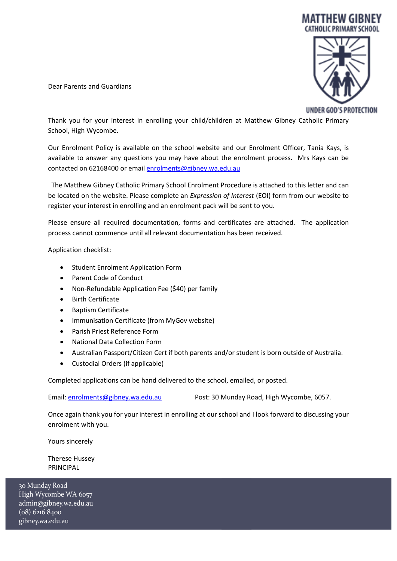

Dear Parents and Guardians

UNDER GOD'S PROTECTION

Thank you for your interest in enrolling your child/children at Matthew Gibney Catholic Primary School, High Wycombe.

Our Enrolment Policy is available on the school website and our Enrolment Officer, Tania Kays, is available to answer any questions you may have about the enrolment process. Mrs Kays can be contacted on 62168400 or emai[l enrolments@gibney.wa.edu.au](mailto:enrolments@gibney.wa.edu.au)

 The Matthew Gibney Catholic Primary School Enrolment Procedure is attached to this letter and can be located on the website. Please complete an *Expression of Interest* (EOI) form from our website to register your interest in enrolling and an enrolment pack will be sent to you.

Please ensure all required documentation, forms and certificates are attached. The application process cannot commence until all relevant documentation has been received.

Application checklist:

- Student Enrolment Application Form
- Parent Code of Conduct
- Non-Refundable Application Fee (\$40) per family
- Birth Certificate
- Baptism Certificate
- Immunisation Certificate (from MyGov website)
- Parish Priest Reference Form
- National Data Collection Form
- Australian Passport/Citizen Cert if both parents and/or student is born outside of Australia.
- Custodial Orders (if applicable)

Completed applications can be hand delivered to the school, emailed, or posted.

Email: [enrolments@gibney.wa.edu.au](mailto:enrolments@gibney.wa.edu.au) Post: 30 Munday Road, High Wycombe, 6057.

Once again thank you for your interest in enrolling at our school and I look forward to discussing your enrolment with you.

Yours sincerely

Therese Hussey PRINCIPAL

30 Munday Road High Wycombe WA 6057 admin@gibney.wa.edu.au  $(08)$  6216 8400 gibney.wa.edu.au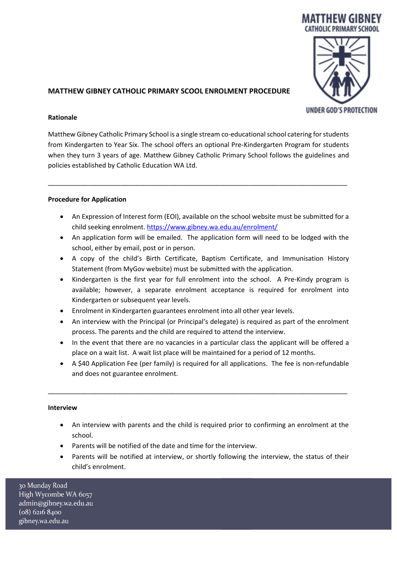

# **MATTHEW GIBNEY CATHOLIC PRIMARY SCOOL ENROLMENT PROCEDURE**

### **Rationale**

Matthew Gibney Catholic Primary School is a single stream co-educational school catering for students from Kindergarten to Year Six. The school offers an optional Pre-Kindergarten Program for students when they turn 3 years of age. Matthew Gibney Catholic Primary School follows the guidelines and policies established by Catholic Education WA Ltd.

\_\_\_\_\_\_\_\_\_\_\_\_\_\_\_\_\_\_\_\_\_\_\_\_\_\_\_\_\_\_\_\_\_\_\_\_\_\_\_\_\_\_\_\_\_\_\_\_\_\_\_\_\_\_\_\_\_\_\_\_\_\_\_\_\_\_\_\_\_\_\_\_\_\_\_\_\_\_\_\_\_\_

### **Procedure for Application**

- An Expression of Interest form (EOI), available on the school website must be submitted for a child seeking enrolment[. https://www.gibney.wa.edu.au/enrolment/](https://www.gibney.wa.edu.au/enrolment/)
- An application form will be emailed. The application form will need to be lodged with the school, either by email, post or in person.
- A copy of the child's Birth Certificate, Baptism Certificate, and Immunisation History Statement (from MyGov website) must be submitted with the application.
- Kindergarten is the first year for full enrolment into the school. A Pre-Kindy program is available; however, a separate enrolment acceptance is required for enrolment into Kindergarten or subsequent year levels.
- Enrolment in Kindergarten guarantees enrolment into all other year levels.
- An interview with the Principal (or Principal's delegate) is required as part of the enrolment process. The parents and the child are required to attend the interview.
- In the event that there are no vacancies in a particular class the applicant will be offered a place on a wait list. A wait list place will be maintained for a period of 12 months.
- A \$40 Application Fee (per family) is required for all applications. The fee is non-refundable and does not guarantee enrolment.

\_\_\_\_\_\_\_\_\_\_\_\_\_\_\_\_\_\_\_\_\_\_\_\_\_\_\_\_\_\_\_\_\_\_\_\_\_\_\_\_\_\_\_\_\_\_\_\_\_\_\_\_\_\_\_\_\_\_\_\_\_\_\_\_\_\_\_\_\_\_\_\_\_\_\_\_\_\_\_\_\_\_

### **Interview**

- An interview with parents and the child is required prior to confirming an enrolment at the school.
- Parents will be notified of the date and time for the interview.
- Parents will be notified at interview, or shortly following the interview, the status of their child's enrolment.

30 Munday Road High Wycombe WA 6057 admin@gibney.wa.edu.au  $(08)$  6216 8400 gibney.wa.edu.au